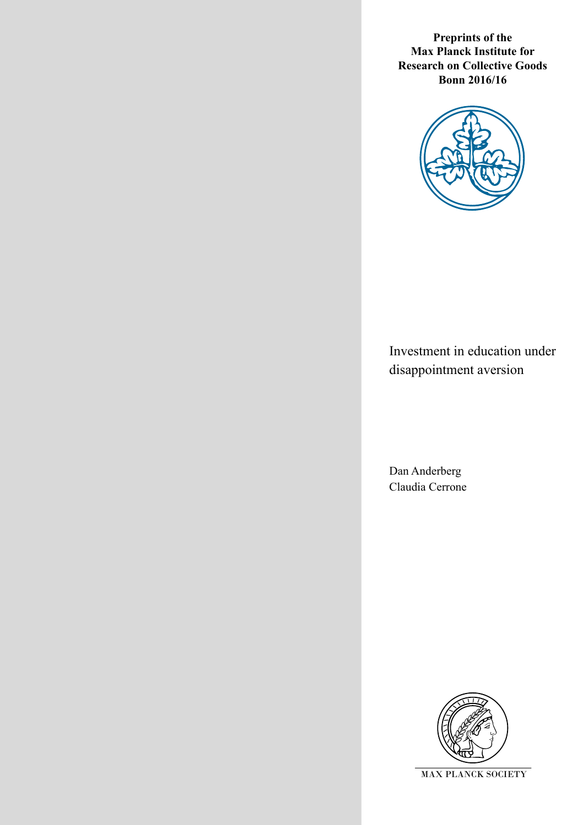**Preprints of the Max Planck Institute for Research on Collective Goods Bonn 2016/16**



Investment in education under disappointment aversion

Dan Anderberg Claudia Cerrone

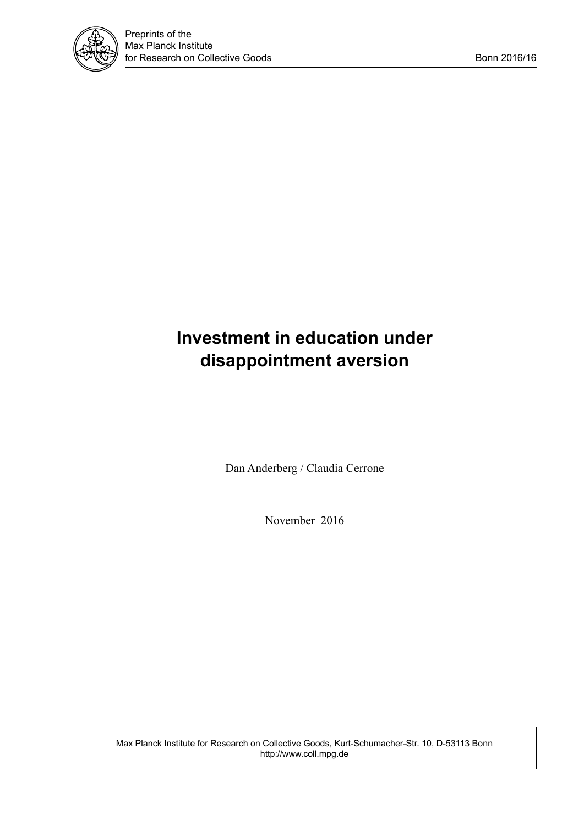

# **Investment in education under disappointment aversion**

Dan Anderberg / Claudia Cerrone

November 2016

Max Planck Institute for Research on Collective Goods, Kurt-Schumacher-Str. 10, D-53113 Bonn http://www.coll.mpg.de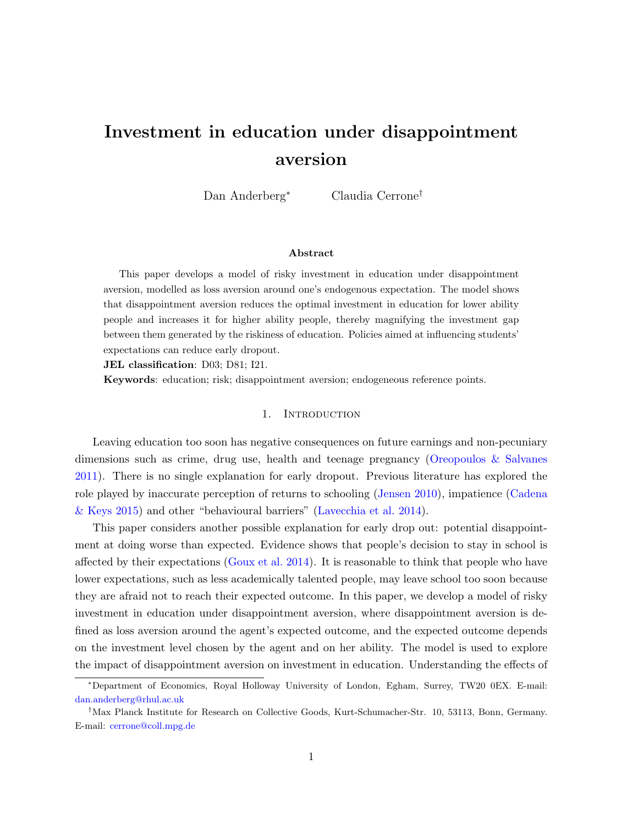## <span id="page-2-0"></span>Investment in education under disappointment aversion

Dan Anderberg<sup>∗</sup> Claudia Cerrone†

#### Abstract

This paper develops a model of risky investment in education under disappointment aversion, modelled as loss aversion around one's endogenous expectation. The model shows that disappointment aversion reduces the optimal investment in education for lower ability people and increases it for higher ability people, thereby magnifying the investment gap between them generated by the riskiness of education. Policies aimed at influencing students' expectations can reduce early dropout.

JEL classification: D03; D81; I21.

Keywords: education; risk; disappointment aversion; endogeneous reference points.

#### 1. INTRODUCTION

Leaving education too soon has negative consequences on future earnings and non-pecuniary dimensions such as crime, drug use, health and teenage pregnancy [\(Oreopoulos & Salvanes](#page-9-0) [2011\)](#page-9-0). There is no single explanation for early dropout. Previous literature has explored the role played by inaccurate perception of returns to schooling [\(Jensen](#page-9-1) [2010\)](#page-9-1), impatience [\(Cadena](#page-9-2) [& Keys](#page-9-2) [2015\)](#page-9-2) and other "behavioural barriers" [\(Lavecchia et al.](#page-9-3) [2014\)](#page-9-3).

This paper considers another possible explanation for early drop out: potential disappointment at doing worse than expected. Evidence shows that people's decision to stay in school is affected by their expectations [\(Goux et al.](#page-9-4) [2014\)](#page-9-4). It is reasonable to think that people who have lower expectations, such as less academically talented people, may leave school too soon because they are afraid not to reach their expected outcome. In this paper, we develop a model of risky investment in education under disappointment aversion, where disappointment aversion is defined as loss aversion around the agent's expected outcome, and the expected outcome depends on the investment level chosen by the agent and on her ability. The model is used to explore the impact of disappointment aversion on investment in education. Understanding the effects of

<sup>∗</sup>Department of Economics, Royal Holloway University of London, Egham, Surrey, TW20 0EX. E-mail: [dan.anderberg@rhul.ac.uk](mailto:dan.anderberg@rhul.ac.uk)

<sup>†</sup>Max Planck Institute for Research on Collective Goods, Kurt-Schumacher-Str. 10, 53113, Bonn, Germany. E-mail: [cerrone@coll.mpg.de](mailto:cerrone@coll.mpg.de)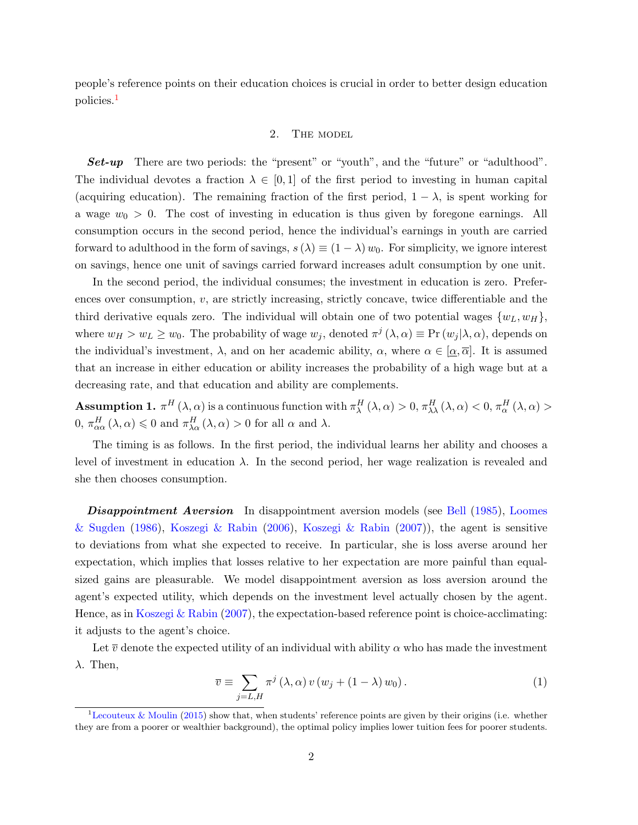people's reference points on their education choices is crucial in order to better design education policies.[1](#page-2-0)

#### 2. THE MODEL

Set-up There are two periods: the "present" or "youth", and the "future" or "adulthood". The individual devotes a fraction  $\lambda \in [0,1]$  of the first period to investing in human capital (acquiring education). The remaining fraction of the first period,  $1 - \lambda$ , is spent working for a wage  $w_0 > 0$ . The cost of investing in education is thus given by foregone earnings. All consumption occurs in the second period, hence the individual's earnings in youth are carried forward to adulthood in the form of savings,  $s(\lambda) \equiv (1 - \lambda) w_0$ . For simplicity, we ignore interest on savings, hence one unit of savings carried forward increases adult consumption by one unit.

In the second period, the individual consumes; the investment in education is zero. Preferences over consumption, v, are strictly increasing, strictly concave, twice differentiable and the third derivative equals zero. The individual will obtain one of two potential wages  $\{w_L, w_H\}$ , where  $w_H > w_L \geq w_0$ . The probability of wage  $w_j$ , denoted  $\pi^j(\lambda, \alpha) \equiv \Pr(w_j|\lambda, \alpha)$ , depends on the individual's investment,  $\lambda$ , and on her academic ability,  $\alpha$ , where  $\alpha \in [\alpha, \overline{\alpha}]$ . It is assumed that an increase in either education or ability increases the probability of a high wage but at a decreasing rate, and that education and ability are complements.

**Assumption 1.**  $\pi^H(\lambda, \alpha)$  is a continuous function with  $\pi^H_\lambda(\lambda, \alpha) > 0$ ,  $\pi^H_{\lambda\lambda}(\lambda, \alpha) < 0$ ,  $\pi^H_\alpha(\lambda, \alpha) >$  $0, \pi_{\alpha\alpha}^{H}(\lambda, \alpha) \leq 0$  and  $\pi_{\lambda\alpha}^{H}(\lambda, \alpha) > 0$  for all  $\alpha$  and  $\lambda$ .

The timing is as follows. In the first period, the individual learns her ability and chooses a level of investment in education  $\lambda$ . In the second period, her wage realization is revealed and she then chooses consumption.

**Disappointment Aversion** In disappointment aversion models (see [Bell](#page-9-5) [\(1985\)](#page-9-5), [Loomes](#page-9-6) [& Sugden](#page-9-6) [\(1986\)](#page-9-6), [Koszegi & Rabin](#page-9-7) [\(2006\)](#page-9-7), [Koszegi & Rabin](#page-9-8) [\(2007\)](#page-9-8)), the agent is sensitive to deviations from what she expected to receive. In particular, she is loss averse around her expectation, which implies that losses relative to her expectation are more painful than equalsized gains are pleasurable. We model disappointment aversion as loss aversion around the agent's expected utility, which depends on the investment level actually chosen by the agent. Hence, as in [Koszegi & Rabin](#page-9-8) [\(2007\)](#page-9-8), the expectation-based reference point is choice-acclimating: it adjusts to the agent's choice.

<span id="page-3-0"></span>Let  $\overline{v}$  denote the expected utility of an individual with ability  $\alpha$  who has made the investment  $\lambda$ . Then,

$$
\overline{v} \equiv \sum_{j=L,H} \pi^j \left( \lambda, \alpha \right) v \left( w_j + (1 - \lambda) w_0 \right). \tag{1}
$$

<sup>&</sup>lt;sup>1</sup>[Lecouteux & Moulin](#page-9-9) [\(2015\)](#page-9-9) show that, when students' reference points are given by their origins (i.e. whether they are from a poorer or wealthier background), the optimal policy implies lower tuition fees for poorer students.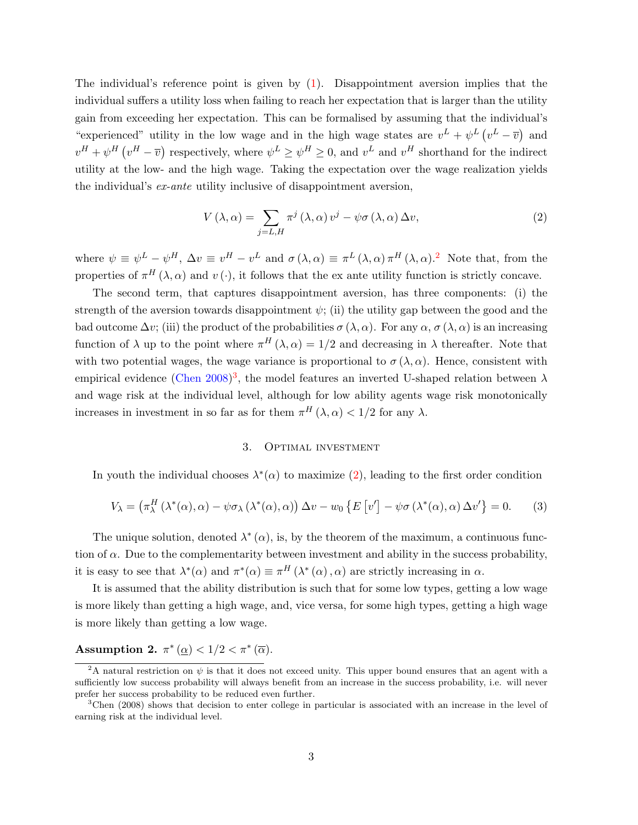The individual's reference point is given by  $(1)$ . Disappointment aversion implies that the individual suffers a utility loss when failing to reach her expectation that is larger than the utility gain from exceeding her expectation. This can be formalised by assuming that the individual's "experienced" utility in the low wage and in the high wage states are  $v^L + \psi^L (v^L - \overline{v})$  and  $v^H + \psi^H(v^H - \overline{v})$  respectively, where  $\psi^L \ge \psi^H \ge 0$ , and  $v^L$  and  $v^H$  shorthand for the indirect utility at the low- and the high wage. Taking the expectation over the wage realization yields the individual's ex-ante utility inclusive of disappointment aversion,

<span id="page-4-0"></span>
$$
V(\lambda, \alpha) = \sum_{j=L,H} \pi^j(\lambda, \alpha) v^j - \psi \sigma(\lambda, \alpha) \Delta v,
$$
\n(2)

where  $\psi \equiv \psi^L - \psi^H$ ,  $\Delta v \equiv v^H - v^L$  and  $\sigma(\lambda, \alpha) \equiv \pi^L(\lambda, \alpha) \pi^H(\lambda, \alpha)$ .<sup>[2](#page-2-0)</sup> Note that, from the properties of  $\pi^H(\lambda, \alpha)$  and  $v(\cdot)$ , it follows that the ex ante utility function is strictly concave.

The second term, that captures disappointment aversion, has three components: (i) the strength of the aversion towards disappointment  $\psi$ ; (ii) the utility gap between the good and the bad outcome  $\Delta v$ ; (iii) the product of the probabilities  $\sigma(\lambda, \alpha)$ . For any  $\alpha, \sigma(\lambda, \alpha)$  is an increasing function of  $\lambda$  up to the point where  $\pi^{H}(\lambda, \alpha) = 1/2$  and decreasing in  $\lambda$  thereafter. Note that with two potential wages, the wage variance is proportional to  $\sigma(\lambda, \alpha)$ . Hence, consistent with empirical evidence [\(Chen](#page-9-10) [2008\)](#page-9-10)<sup>[3](#page-2-0)</sup>, the model features an inverted U-shaped relation between  $\lambda$ and wage risk at the individual level, although for low ability agents wage risk monotonically increases in investment in so far as for them  $\pi^H(\lambda, \alpha) < 1/2$  for any  $\lambda$ .

#### 3. Optimal investment

In youth the individual chooses  $\lambda^*(\alpha)$  to maximize [\(2\)](#page-4-0), leading to the first order condition

$$
V_{\lambda} = (\pi_{\lambda}^{H} (\lambda^{*}(\alpha), \alpha) - \psi \sigma_{\lambda} (\lambda^{*}(\alpha), \alpha)) \Delta v - w_{0} \{ E[v'] - \psi \sigma (\lambda^{*}(\alpha), \alpha) \Delta v' \} = 0.
$$
 (3)

The unique solution, denoted  $\lambda^*(\alpha)$ , is, by the theorem of the maximum, a continuous function of  $\alpha$ . Due to the complementarity between investment and ability in the success probability, it is easy to see that  $\lambda^*(\alpha)$  and  $\pi^*(\alpha) \equiv \pi^H(\lambda^*(\alpha), \alpha)$  are strictly increasing in  $\alpha$ .

It is assumed that the ability distribution is such that for some low types, getting a low wage is more likely than getting a high wage, and, vice versa, for some high types, getting a high wage is more likely than getting a low wage.

### <span id="page-4-1"></span>Assumption 2.  $\pi^*(\underline{\alpha}) < 1/2 < \pi^*(\overline{\alpha})$ .

<sup>&</sup>lt;sup>2</sup>A natural restriction on  $\psi$  is that it does not exceed unity. This upper bound ensures that an agent with a sufficiently low success probability will always benefit from an increase in the success probability, i.e. will never prefer her success probability to be reduced even further.

<sup>3</sup>Chen (2008) shows that decision to enter college in particular is associated with an increase in the level of earning risk at the individual level.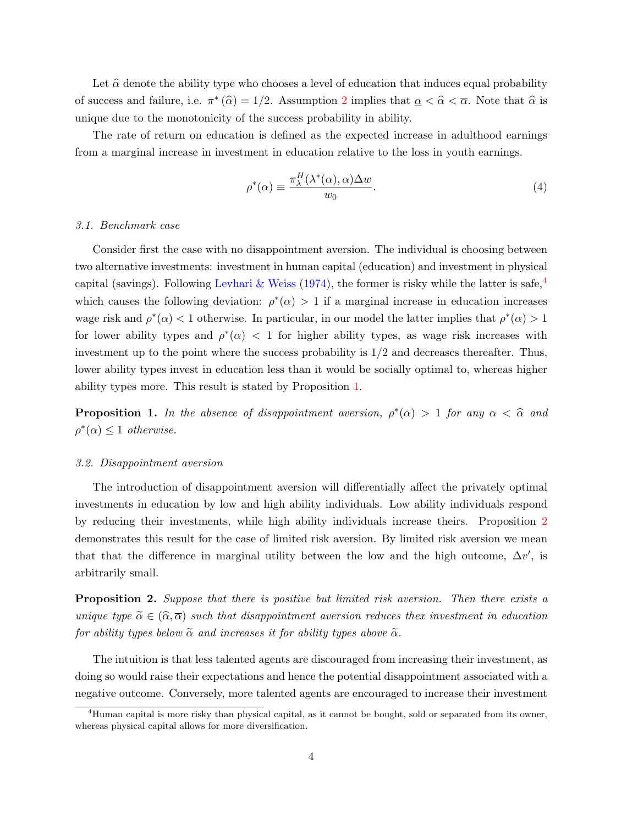Let  $\hat{\alpha}$  denote the ability type who chooses a level of education that induces equal probability of success and failure, i.e.  $\pi^*(\widehat{\alpha}) = 1/2$  $\pi^*(\widehat{\alpha}) = 1/2$ . Assumption 2 implies that  $\underline{\alpha} < \widehat{\alpha} < \overline{\alpha}$ . Note that  $\widehat{\alpha}$  is unique due to the monotonicity of the success probability in ability.

The rate of return on education is defined as the expected increase in adulthood earnings from a marginal increase in investment in education relative to the loss in youth earnings.

<span id="page-5-2"></span>
$$
\rho^*(\alpha) \equiv \frac{\pi_\lambda^H(\lambda^*(\alpha), \alpha) \Delta w}{w_0}.\tag{4}
$$

#### 3.1. Benchmark case

Consider first the case with no disappointment aversion. The individual is choosing between two alternative investments: investment in human capital (education) and investment in physical capital (savings). Following [Levhari & Weiss](#page-9-11) [\(1974\)](#page-9-11), the former is risky while the latter is safe,  $\frac{4}{3}$  $\frac{4}{3}$  $\frac{4}{3}$ which causes the following deviation:  $\rho^*(\alpha) > 1$  if a marginal increase in education increases wage risk and  $\rho^*(\alpha) < 1$  otherwise. In particular, in our model the latter implies that  $\rho^*(\alpha) > 1$ for lower ability types and  $\rho^*(\alpha) < 1$  for higher ability types, as wage risk increases with investment up to the point where the success probability is 1/2 and decreases thereafter. Thus, lower ability types invest in education less than it would be socially optimal to, whereas higher ability types more. This result is stated by Proposition [1.](#page-5-0)

<span id="page-5-0"></span>**Proposition 1.** In the absence of disappointment aversion,  $\rho^*(\alpha) > 1$  for any  $\alpha < \hat{\alpha}$  and  $\rho^*(\alpha) \leq 1$  otherwise.

#### 3.2. Disappointment aversion

The introduction of disappointment aversion will differentially affect the privately optimal investments in education by low and high ability individuals. Low ability individuals respond by reducing their investments, while high ability individuals increase theirs. Proposition [2](#page-5-1) demonstrates this result for the case of limited risk aversion. By limited risk aversion we mean that that the difference in marginal utility between the low and the high outcome,  $\Delta v'$ , is arbitrarily small.

<span id="page-5-1"></span>**Proposition 2.** Suppose that there is positive but limited risk aversion. Then there exists a unique type  $\widetilde{\alpha} \in (\widehat{\alpha}, \overline{\alpha})$  such that disappointment aversion reduces thex investment in education for ability types below  $\tilde{\alpha}$  and increases it for ability types above  $\tilde{\alpha}$ .

The intuition is that less talented agents are discouraged from increasing their investment, as doing so would raise their expectations and hence the potential disappointment associated with a negative outcome. Conversely, more talented agents are encouraged to increase their investment

<sup>4</sup>Human capital is more risky than physical capital, as it cannot be bought, sold or separated from its owner, whereas physical capital allows for more diversification.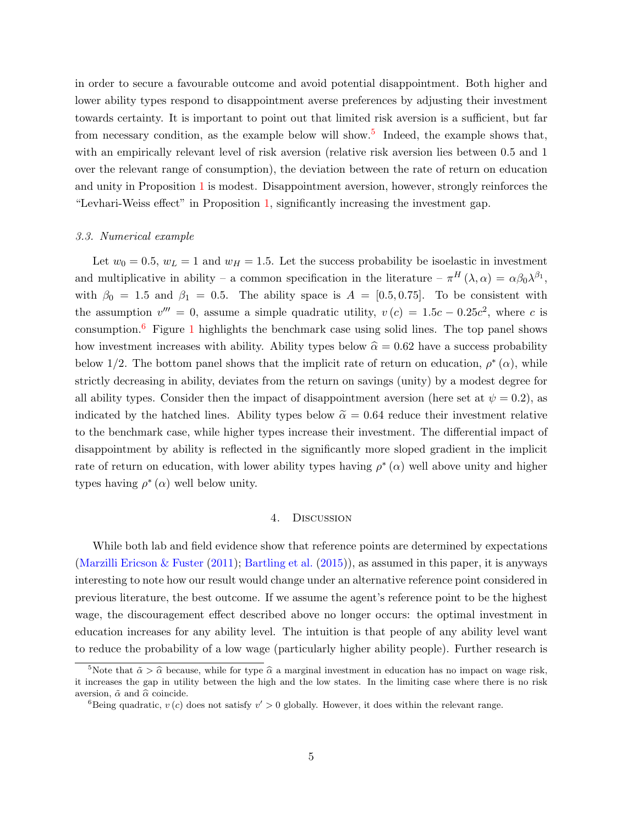in order to secure a favourable outcome and avoid potential disappointment. Both higher and lower ability types respond to disappointment averse preferences by adjusting their investment towards certainty. It is important to point out that limited risk aversion is a sufficient, but far from necessary condition, as the example below will show.<sup>[5](#page-2-0)</sup> Indeed, the example shows that, with an empirically relevant level of risk aversion (relative risk aversion lies between 0.5 and 1 over the relevant range of consumption), the deviation between the rate of return on education and unity in Proposition [1](#page-5-0) is modest. Disappointment aversion, however, strongly reinforces the "Levhari-Weiss effect" in Proposition [1,](#page-5-0) significantly increasing the investment gap.

#### 3.3. Numerical example

Let  $w_0 = 0.5$ ,  $w_L = 1$  and  $w_H = 1.5$ . Let the success probability be isoelastic in investment and multiplicative in ability – a common specification in the literature –  $\pi^H(\lambda,\alpha) = \alpha\beta_0\lambda^{\beta_1}$ , with  $\beta_0 = 1.5$  and  $\beta_1 = 0.5$ . The ability space is  $A = [0.5, 0.75]$ . To be consistent with the assumption  $v''' = 0$ , assume a simple quadratic utility,  $v(c) = 1.5c - 0.25c^2$ , where c is consumption.<sup>[6](#page-2-0)</sup> Figure [1](#page-7-0) highlights the benchmark case using solid lines. The top panel shows how investment increases with ability. Ability types below  $\hat{\alpha} = 0.62$  have a success probability below 1/2. The bottom panel shows that the implicit rate of return on education,  $\rho^*(\alpha)$ , while strictly decreasing in ability, deviates from the return on savings (unity) by a modest degree for all ability types. Consider then the impact of disappointment aversion (here set at  $\psi = 0.2$ ), as indicated by the hatched lines. Ability types below  $\tilde{\alpha} = 0.64$  reduce their investment relative to the benchmark case, while higher types increase their investment. The differential impact of disappointment by ability is reflected in the significantly more sloped gradient in the implicit rate of return on education, with lower ability types having  $\rho^*(\alpha)$  well above unity and higher types having  $\rho^*(\alpha)$  well below unity.

#### 4. Discussion

While both lab and field evidence show that reference points are determined by expectations [\(Marzilli Ericson & Fuster](#page-9-12) [\(2011\)](#page-9-12); [Bartling et al.](#page-9-13) [\(2015\)](#page-9-13)), as assumed in this paper, it is anyways interesting to note how our result would change under an alternative reference point considered in previous literature, the best outcome. If we assume the agent's reference point to be the highest wage, the discouragement effect described above no longer occurs: the optimal investment in education increases for any ability level. The intuition is that people of any ability level want to reduce the probability of a low wage (particularly higher ability people). Further research is

<sup>&</sup>lt;sup>5</sup>Note that  $\tilde{\alpha} > \hat{\alpha}$  because, while for type  $\hat{\alpha}$  a marginal investment in education has no impact on wage risk, it increases the gap in utility between the high and the low states. In the limiting case where there is no risk aversion,  $\tilde{\alpha}$  and  $\hat{\alpha}$  coincide.

<sup>&</sup>lt;sup>6</sup>Being quadratic,  $v(c)$  does not satisfy  $v' > 0$  globally. However, it does within the relevant range.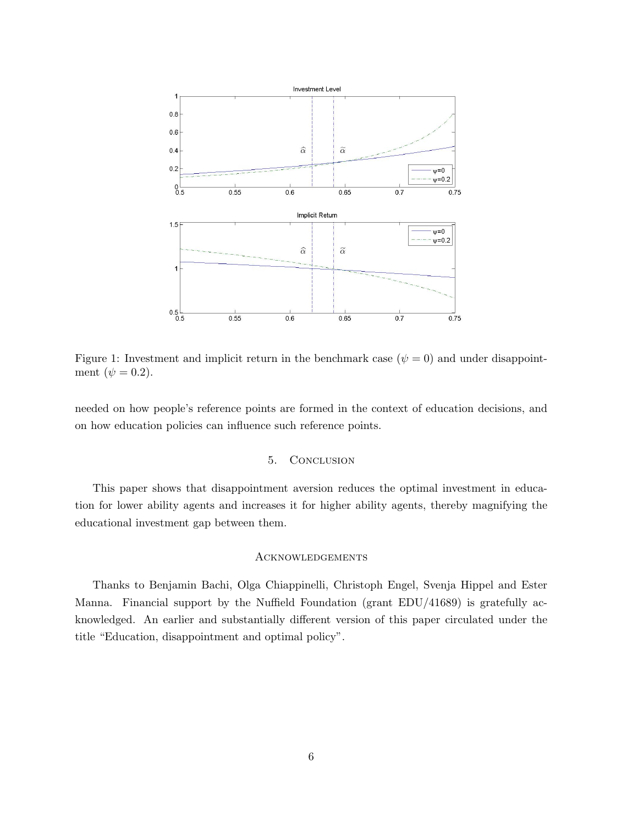<span id="page-7-0"></span>

Figure 1: Investment and implicit return in the benchmark case  $(\psi = 0)$  and under disappointment  $(\psi = 0.2)$ .

needed on how people's reference points are formed in the context of education decisions, and on how education policies can influence such reference points.

#### 5. Conclusion

This paper shows that disappointment aversion reduces the optimal investment in education for lower ability agents and increases it for higher ability agents, thereby magnifying the educational investment gap between them.

#### **ACKNOWLEDGEMENTS**

Thanks to Benjamin Bachi, Olga Chiappinelli, Christoph Engel, Svenja Hippel and Ester Manna. Financial support by the Nuffield Foundation (grant EDU/41689) is gratefully acknowledged. An earlier and substantially different version of this paper circulated under the title "Education, disappointment and optimal policy".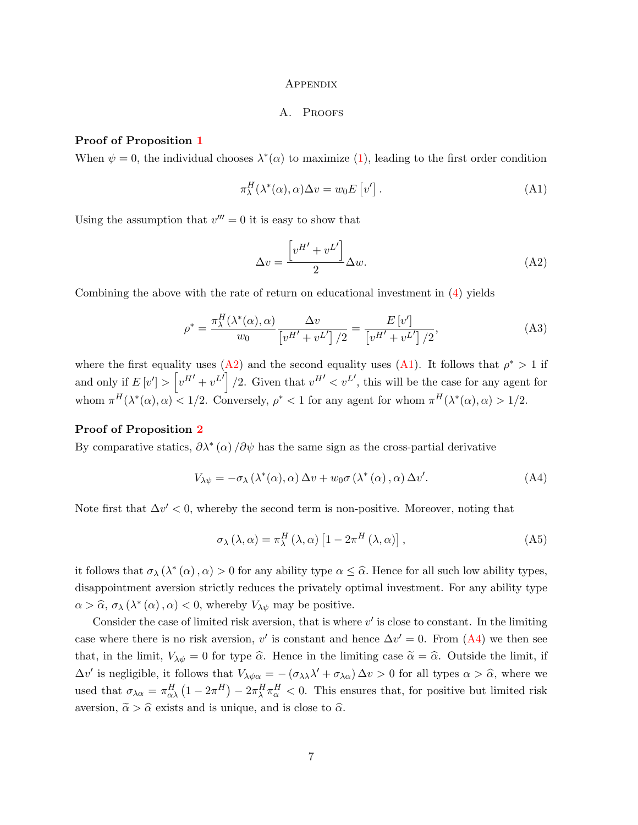#### **APPENDIX**

#### <span id="page-8-1"></span>A. PROOFS

#### Proof of Proposition [1](#page-5-0)

When  $\psi = 0$ , the individual chooses  $\lambda^*(\alpha)$  to maximize [\(1\)](#page-3-0), leading to the first order condition

$$
\pi_{\lambda}^{H}(\lambda^{*}(\alpha), \alpha) \Delta v = w_{0} E[v'] .
$$
\n(A1)

Using the assumption that  $v''' = 0$  it is easy to show that

<span id="page-8-0"></span>
$$
\Delta v = \frac{\left[v^{H'} + v^{L'}\right]}{2} \Delta w.
$$
\n(A2)

Combining the above with the rate of return on educational investment in  $(4)$  yields

$$
\rho^* = \frac{\pi_\lambda^H(\lambda^*(\alpha), \alpha)}{w_0} \frac{\Delta v}{\left[v^{H'} + v^{L'}\right]/2} = \frac{E\left[v'\right]}{\left[v^{H'} + v^{L'}\right]/2},\tag{A3}
$$

where the first equality uses [\(A2\)](#page-8-0) and the second equality uses [\(A1\)](#page-8-1). It follows that  $\rho^* > 1$  if and only if  $E[v'] > [v^{H'} + v^{L'}] / 2$ . Given that  $v^{H'} < v^{L'}$ , this will be the case for any agent for whom  $\pi^H(\lambda^*(\alpha), \alpha) < 1/2$ . Conversely,  $\rho^* < 1$  for any agent for whom  $\pi^H(\lambda^*(\alpha), \alpha) > 1/2$ .

#### Proof of Proposition [2](#page-5-1)

By comparative statics,  $\partial \lambda^* (\alpha) / \partial \psi$  has the same sign as the cross-partial derivative

$$
V_{\lambda\psi} = -\sigma_{\lambda} (\lambda^*(\alpha), \alpha) \Delta v + w_0 \sigma (\lambda^*(\alpha), \alpha) \Delta v'.
$$
 (A4)

Note first that  $\Delta v' < 0$ , whereby the second term is non-positive. Moreover, noting that

<span id="page-8-2"></span>
$$
\sigma_{\lambda} (\lambda, \alpha) = \pi_{\lambda}^{H} (\lambda, \alpha) [1 - 2\pi^{H} (\lambda, \alpha)], \qquad (A5)
$$

it follows that  $\sigma_{\lambda}(\lambda^*(\alpha), \alpha) > 0$  for any ability type  $\alpha \leq \widehat{\alpha}$ . Hence for all such low ability types, disappointment aversion strictly reduces the privately optimal investment. For any ability type  $\alpha > \widehat{\alpha}$ ,  $\sigma_{\lambda} (\lambda^* (\alpha), \alpha) < 0$ , whereby  $V_{\lambda \psi}$  may be positive.

Consider the case of limited risk aversion, that is where  $v'$  is close to constant. In the limiting case where there is no risk aversion,  $v'$  is constant and hence  $\Delta v' = 0$ . From [\(A4\)](#page-8-2) we then see that, in the limit,  $V_{\lambda\psi} = 0$  for type  $\hat{\alpha}$ . Hence in the limiting case  $\tilde{\alpha} = \hat{\alpha}$ . Outside the limit, if  $\Delta v'$  is negligible, it follows that  $V_{\lambda\psi\alpha} = -(\sigma_{\lambda\lambda}\lambda' + \sigma_{\lambda\alpha})\Delta v > 0$  for all types  $\alpha > \hat{\alpha}$ , where we used that  $\sigma_{\lambda\alpha} = \pi_{\alpha\lambda}^H (1 - 2\pi^H) - 2\pi_{\lambda}^H \pi_{\alpha}^H < 0$ . This ensures that, for positive but limited risk aversion,  $\tilde{\alpha} > \hat{\alpha}$  exists and is unique, and is close to  $\hat{\alpha}$ .